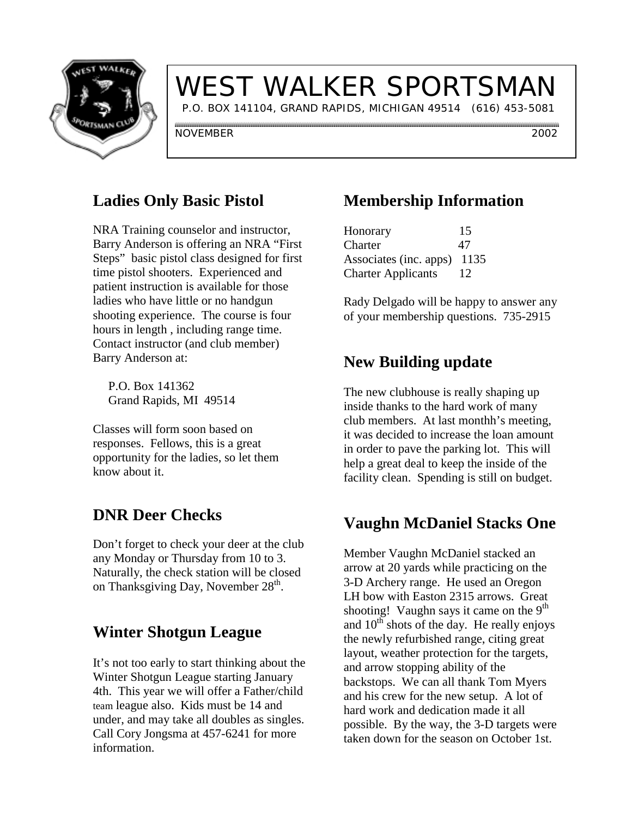

# WEST WALKER SPORTSMAN

P.O. BOX 141104, GRAND RAPIDS, MICHIGAN 49514 (616) 453-5081

NOVEMBER 2002

## **Ladies Only Basic Pistol**

NRA Training counselor and instructor, Barry Anderson is offering an NRA "First Steps" basic pistol class designed for first time pistol shooters. Experienced and patient instruction is available for those ladies who have little or no handgun shooting experience. The course is four hours in length , including range time. Contact instructor (and club member) Barry Anderson at:

 P.O. Box 141362 Grand Rapids, MI 49514

Classes will form soon based on responses. Fellows, this is a great opportunity for the ladies, so let them know about it.

## **DNR Deer Checks**

Don't forget to check your deer at the club any Monday or Thursday from 10 to 3. Naturally, the check station will be closed on Thanksgiving Day, November  $28<sup>th</sup>$ .

#### **Winter Shotgun League**

It's not too early to start thinking about the Winter Shotgun League starting January 4th. This year we will offer a Father/child team league also. Kids must be 14 and under, and may take all doubles as singles. Call Cory Jongsma at 457-6241 for more information.

## **Membership Information**

| Honorary                  | 15   |
|---------------------------|------|
| Charter                   | 47   |
| Associates (inc. apps)    | 1135 |
| <b>Charter Applicants</b> | 12   |

Rady Delgado will be happy to answer any of your membership questions. 735-2915

#### **New Building update**

The new clubhouse is really shaping up inside thanks to the hard work of many club members. At last monthh's meeting, it was decided to increase the loan amount in order to pave the parking lot. This will help a great deal to keep the inside of the facility clean. Spending is still on budget.

### **Vaughn McDaniel Stacks One**

Member Vaughn McDaniel stacked an arrow at 20 yards while practicing on the 3-D Archery range. He used an Oregon LH bow with Easton 2315 arrows. Great shooting! Vaughn says it came on the  $9<sup>th</sup>$ and  $10^{th}$  shots of the day. He really enjoys the newly refurbished range, citing great layout, weather protection for the targets, and arrow stopping ability of the backstops. We can all thank Tom Myers and his crew for the new setup. A lot of hard work and dedication made it all possible. By the way, the 3-D targets were taken down for the season on October 1st.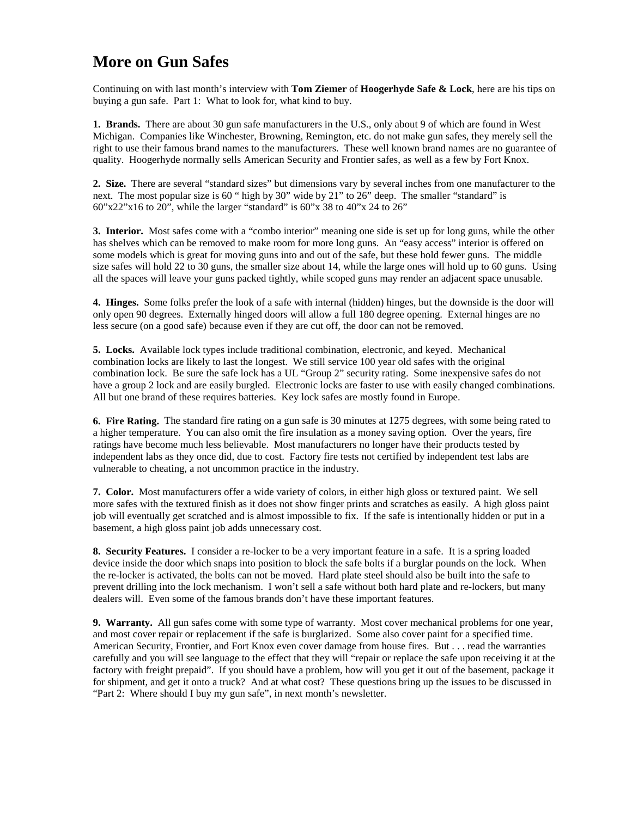#### **More on Gun Safes**

Continuing on with last month's interview with **Tom Ziemer** of **Hoogerhyde Safe & Lock**, here are his tips on buying a gun safe. Part 1: What to look for, what kind to buy.

**1. Brands.** There are about 30 gun safe manufacturers in the U.S., only about 9 of which are found in West Michigan. Companies like Winchester, Browning, Remington, etc. do not make gun safes, they merely sell the right to use their famous brand names to the manufacturers. These well known brand names are no guarantee of quality. Hoogerhyde normally sells American Security and Frontier safes, as well as a few by Fort Knox.

**2. Size.** There are several "standard sizes" but dimensions vary by several inches from one manufacturer to the next. The most popular size is 60 " high by 30" wide by 21" to 26" deep. The smaller "standard" is 60"x22"x16 to 20", while the larger "standard" is 60"x 38 to 40"x 24 to 26"

**3. Interior.** Most safes come with a "combo interior" meaning one side is set up for long guns, while the other has shelves which can be removed to make room for more long guns. An "easy access" interior is offered on some models which is great for moving guns into and out of the safe, but these hold fewer guns. The middle size safes will hold 22 to 30 guns, the smaller size about 14, while the large ones will hold up to 60 guns. Using all the spaces will leave your guns packed tightly, while scoped guns may render an adjacent space unusable.

**4. Hinges.** Some folks prefer the look of a safe with internal (hidden) hinges, but the downside is the door will only open 90 degrees. Externally hinged doors will allow a full 180 degree opening. External hinges are no less secure (on a good safe) because even if they are cut off, the door can not be removed.

**5. Locks.** Available lock types include traditional combination, electronic, and keyed. Mechanical combination locks are likely to last the longest. We still service 100 year old safes with the original combination lock. Be sure the safe lock has a UL "Group 2" security rating. Some inexpensive safes do not have a group 2 lock and are easily burgled. Electronic locks are faster to use with easily changed combinations. All but one brand of these requires batteries. Key lock safes are mostly found in Europe.

**6. Fire Rating.** The standard fire rating on a gun safe is 30 minutes at 1275 degrees, with some being rated to a higher temperature. You can also omit the fire insulation as a money saving option. Over the years, fire ratings have become much less believable. Most manufacturers no longer have their products tested by independent labs as they once did, due to cost. Factory fire tests not certified by independent test labs are vulnerable to cheating, a not uncommon practice in the industry.

**7. Color.** Most manufacturers offer a wide variety of colors, in either high gloss or textured paint. We sell more safes with the textured finish as it does not show finger prints and scratches as easily. A high gloss paint job will eventually get scratched and is almost impossible to fix. If the safe is intentionally hidden or put in a basement, a high gloss paint job adds unnecessary cost.

**8. Security Features.** I consider a re-locker to be a very important feature in a safe. It is a spring loaded device inside the door which snaps into position to block the safe bolts if a burglar pounds on the lock. When the re-locker is activated, the bolts can not be moved. Hard plate steel should also be built into the safe to prevent drilling into the lock mechanism. I won't sell a safe without both hard plate and re-lockers, but many dealers will. Even some of the famous brands don't have these important features.

**9. Warranty.** All gun safes come with some type of warranty. Most cover mechanical problems for one year, and most cover repair or replacement if the safe is burglarized. Some also cover paint for a specified time. American Security, Frontier, and Fort Knox even cover damage from house fires. But . . . read the warranties carefully and you will see language to the effect that they will "repair or replace the safe upon receiving it at the factory with freight prepaid". If you should have a problem, how will you get it out of the basement, package it for shipment, and get it onto a truck? And at what cost? These questions bring up the issues to be discussed in "Part 2: Where should I buy my gun safe", in next month's newsletter.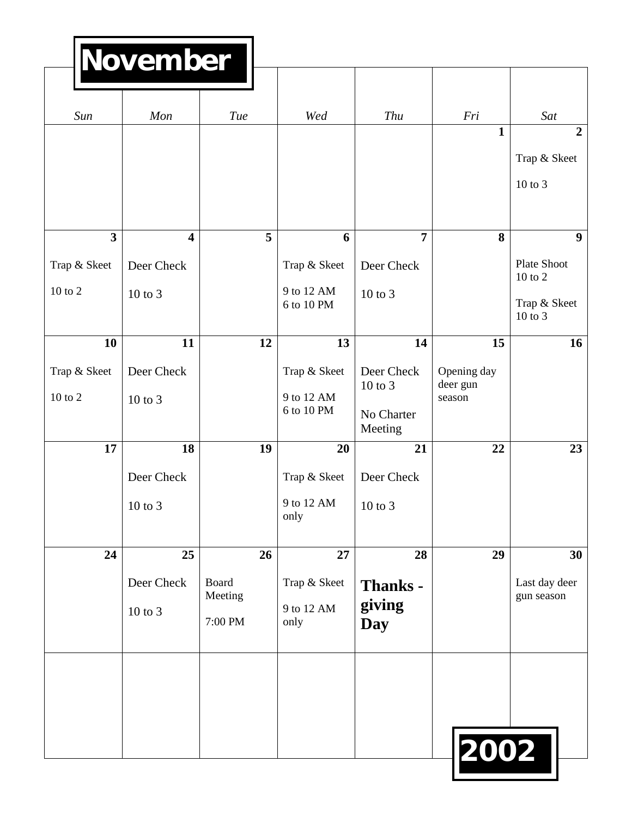| ! November |  |  |  |
|------------|--|--|--|
|            |  |  |  |

|                               | <u>IAOA ANNDAI</u>              |                                   |                                          |                                                    |                                   |                                                         |
|-------------------------------|---------------------------------|-----------------------------------|------------------------------------------|----------------------------------------------------|-----------------------------------|---------------------------------------------------------|
| Sun                           | Mon                             | <b>Tue</b>                        | Wed                                      | Thu                                                | Fri                               | Sat                                                     |
|                               |                                 |                                   |                                          |                                                    | $\mathbf{1}$                      | $\overline{2}$<br>Trap & Skeet<br>10 to 3               |
| $\overline{\mathbf{3}}$       | $\overline{\mathbf{4}}$         | 5                                 | 6                                        | $\overline{7}$                                     | 8                                 | 9                                                       |
| Trap & Skeet<br>$10$ to $2\,$ | Deer Check<br>$10$ to $3$       |                                   | Trap & Skeet<br>9 to 12 AM<br>6 to 10 PM | Deer Check<br>10 to 3                              |                                   | Plate Shoot<br>10 to 2<br>Trap & Skeet<br>$10$ to $3\,$ |
| 10                            | 11                              | 12                                | 13                                       | 14                                                 | 15                                | 16                                                      |
| Trap & Skeet<br>$10$ to $2$   | Deer Check<br>$10$ to $3$       |                                   | Trap & Skeet<br>9 to 12 AM<br>6 to 10 PM | Deer Check<br>$10$ to $3$<br>No Charter<br>Meeting | Opening day<br>deer gun<br>season |                                                         |
| 17                            | 18                              | 19                                | 20                                       | 21                                                 | 22                                | 23                                                      |
|                               | Deer Check<br>10 to 3           |                                   | Trap & Skeet<br>9 to 12 AM<br>only       | Deer Check<br>10 to 3                              |                                   |                                                         |
| 24                            | 25<br>Deer Check<br>$10$ to $3$ | 26<br>Board<br>Meeting<br>7:00 PM | 27<br>Trap & Skeet<br>9 to 12 AM<br>only | 28<br><b>Thanks -</b><br>giving<br><b>Day</b>      | 29                                | 30<br>Last day deer<br>gun season                       |
|                               |                                 |                                   |                                          |                                                    | 2002                              |                                                         |